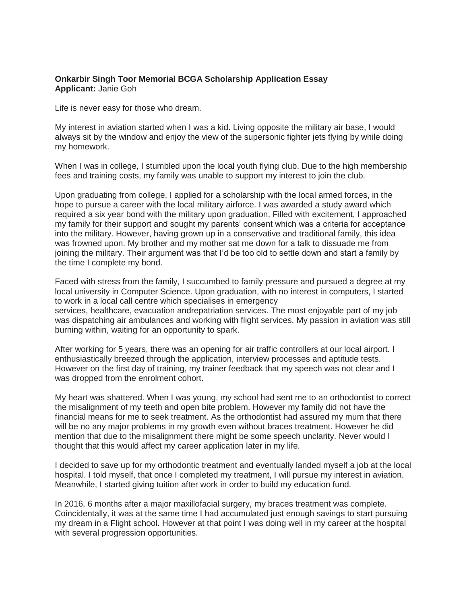## **Onkarbir Singh Toor Memorial BCGA Scholarship Application Essay Applicant:** Janie Goh

Life is never easy for those who dream.

My interest in aviation started when I was a kid. Living opposite the military air base, I would always sit by the window and enjoy the view of the supersonic fighter jets flying by while doing my homework.

When I was in college, I stumbled upon the local youth flying club. Due to the high membership fees and training costs, my family was unable to support my interest to join the club.

Upon graduating from college, I applied for a scholarship with the local armed forces, in the hope to pursue a career with the local military airforce. I was awarded a study award which required a six year bond with the military upon graduation. Filled with excitement, I approached my family for their support and sought my parents' consent which was a criteria for acceptance into the military. However, having grown up in a conservative and traditional family, this idea was frowned upon. My brother and my mother sat me down for a talk to dissuade me from joining the military. Their argument was that I'd be too old to settle down and start a family by the time I complete my bond.

Faced with stress from the family, I succumbed to family pressure and pursued a degree at my local university in Computer Science. Upon graduation, with no interest in computers, I started to work in a local call centre which specialises in emergency services, healthcare, evacuation andrepatriation services. The most enjoyable part of my job was dispatching air ambulances and working with flight services. My passion in aviation was still burning within, waiting for an opportunity to spark.

After working for 5 years, there was an opening for air traffic controllers at our local airport. I enthusiastically breezed through the application, interview processes and aptitude tests. However on the first day of training, my trainer feedback that my speech was not clear and I was dropped from the enrolment cohort.

My heart was shattered. When I was young, my school had sent me to an orthodontist to correct the misalignment of my teeth and open bite problem. However my family did not have the financial means for me to seek treatment. As the orthodontist had assured my mum that there will be no any major problems in my growth even without braces treatment. However he did mention that due to the misalignment there might be some speech unclarity. Never would I thought that this would affect my career application later in my life.

I decided to save up for my orthodontic treatment and eventually landed myself a job at the local hospital. I told myself, that once I completed my treatment, I will pursue my interest in aviation. Meanwhile, I started giving tuition after work in order to build my education fund.

In 2016, 6 months after a major maxillofacial surgery, my braces treatment was complete. Coincidentally, it was at the same time I had accumulated just enough savings to start pursuing my dream in a Flight school. However at that point I was doing well in my career at the hospital with several progression opportunities.